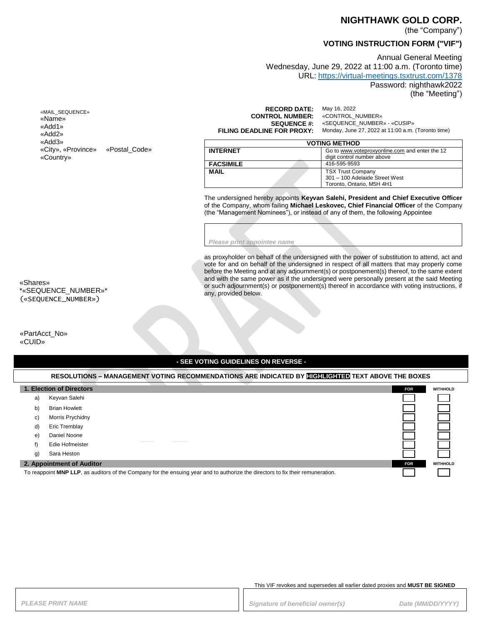## **NIGHTHAWK GOLD CORP.**

(the "Company")

# **VOTING INSTRUCTION FORM ("VIF")**

Annual General Meeting Wednesday, June 29, 2022 at 11:00 a.m. (Toronto time) URL: <https://virtual-meetings.tsxtrust.com/1378> Password: nighthawk2022

(the "Meeting")

| «MAIL SEQUENCE»    |               |
|--------------------|---------------|
| «Name»             |               |
| «Add1»             |               |
| «Add2»             |               |
| «Add3»             |               |
| «City», «Province» | «Postal Code» |
| «Country»          |               |

**RECORD DATE:** May 16, 2022<br>**TROL NUMBER:** «CONTROL\_NUMBER» **CONTROL NUMBER:**<br>SEQUENCE #: **SEQUENCE #:** «SEQUENCE\_NUMBER» - «CUSIP»<br>**FILING DEADLINE FOR PROXY:** Monday, June 27, 2022 at 11:00 a.m. **FILING DEADLINE FOR PROXY:** Monday, June 27, 2022 at 11:00 a.m. (Toronto time)

| <b>VOTING METHOD</b> |                                                |  |
|----------------------|------------------------------------------------|--|
| <b>INTERNET</b>      | Go to www.voteproxyonline.com and enter the 12 |  |
|                      | digit control number above                     |  |
| <b>FACSIMILE</b>     | 416-595-9593                                   |  |
| <b>MAIL</b>          | <b>TSX Trust Company</b>                       |  |
|                      | 301 - 100 Adelaide Street West                 |  |
|                      | Toronto. Ontario. M5H 4H1                      |  |

The undersigned hereby appoints **Keyvan Salehi, President and Chief Executive Officer** of the Company, whom failing **Michael Leskovec, Chief Financial Officer** of the Company (the "Management Nominees"), or instead of any of them, the following Appointee

*Please print appointee name*

as proxyholder on behalf of the undersigned with the power of substitution to attend, act and vote for and on behalf of the undersigned in respect of all matters that may properly come before the Meeting and at any adjournment(s) or postponement(s) thereof, to the same extent and with the same power as if the undersigned were personally present at the said Meeting or such adjournment(s) or postponement(s) thereof in accordance with voting instructions, if any, provided below.

«Shares» \*«SEQUENCE\_NUMBER»\* («SEQUENCE\_NUMBER»)

«PartAcct\_No» «CUID»

### **- SEE VOTING GUIDELINES ON REVERSE -**

| RESOLUTIONS – MANAGEMENT VOTING RECOMMENDATIONS ARE INDICATED BY <b>HIGHLIGHTED</b> TEXT ABOVE THE BOXES                        |                          |                 |                 |
|---------------------------------------------------------------------------------------------------------------------------------|--------------------------|-----------------|-----------------|
|                                                                                                                                 | 1. Election of Directors | <b>FOR</b>      | <b>WITHHOLD</b> |
| a)                                                                                                                              | Keyvan Salehi            |                 |                 |
| b)                                                                                                                              | <b>Brian Howlett</b>     |                 |                 |
| C)                                                                                                                              | Morris Prychidny         |                 |                 |
| d)                                                                                                                              | Eric Tremblav            |                 |                 |
| e)                                                                                                                              | Daniel Noone             |                 |                 |
|                                                                                                                                 | Edie Hofmeister          |                 |                 |
| g)                                                                                                                              | Sara Heston              |                 |                 |
| 2. Appointment of Auditor<br><b>FOR</b>                                                                                         |                          | <b>WITHHOLD</b> |                 |
| To reappoint MNP LLP, as auditors of the Company for the ensuing year and to authorize the directors to fix their remuneration. |                          |                 |                 |

#### This VIF revokes and supersedes all earlier dated proxies and **MUST BE SIGNED**

PLEASE PRINT NAME *PRINT NAME PLEASE PRINT NAME Date (MM/DD/YYYY)*